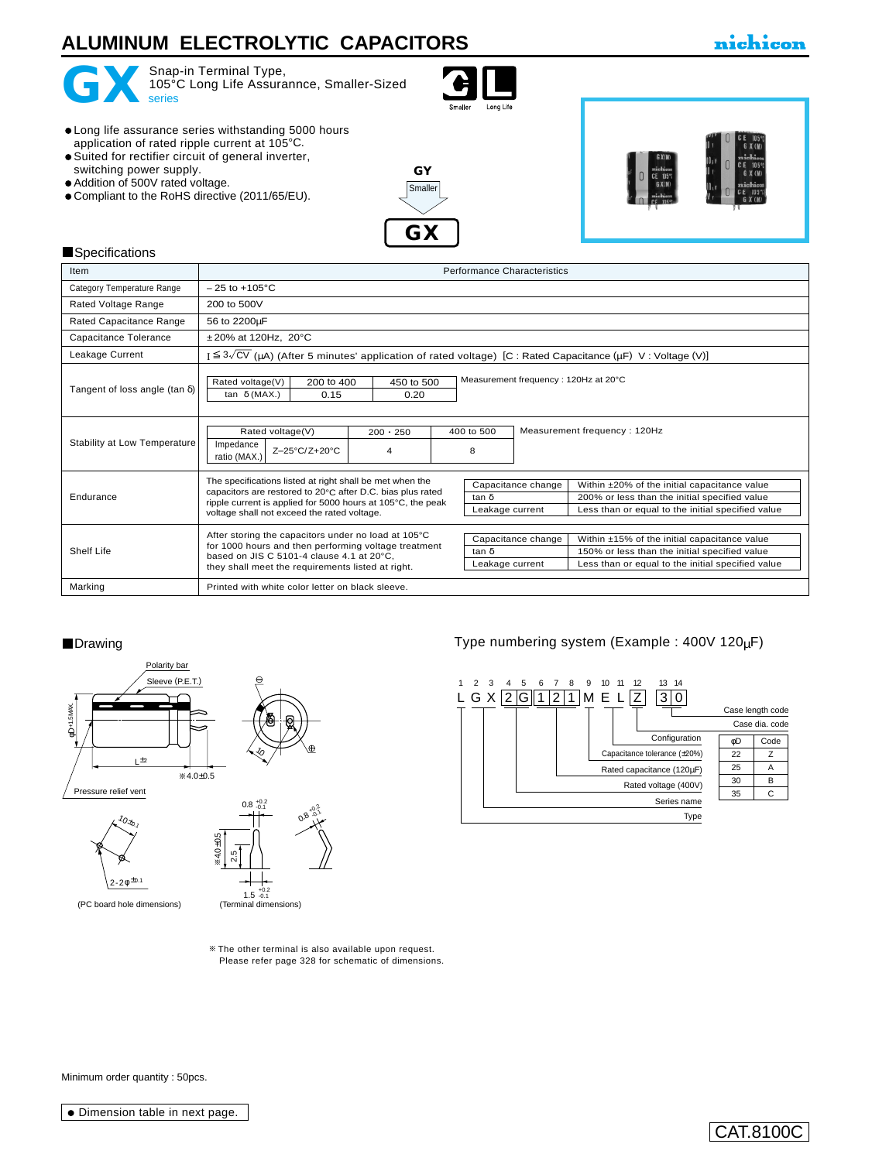# **ALUMINUM ELECTROLYTIC CAPACITORS**



GX<br>series

Snap-in Terminal Type, 105°C Long Life Assurannce, Smaller-Sized<br>series



Long life assurance series withstanding 5000 hours application of rated ripple current at 105°C.

- Suited for rectifier circuit of general inverter,
- switching power supply. Addition of 500V rated voltage.
- $\bullet$  Compliant to the RoHS directive (2011/65/EU).





#### **Specifications**

| Item                                  | <b>Performance Characteristics</b>                                                                                                                                                                                                                                                                                                                                                                                                           |  |  |  |  |  |  |
|---------------------------------------|----------------------------------------------------------------------------------------------------------------------------------------------------------------------------------------------------------------------------------------------------------------------------------------------------------------------------------------------------------------------------------------------------------------------------------------------|--|--|--|--|--|--|
| Category Temperature Range            | $-25$ to $+105^{\circ}$ C                                                                                                                                                                                                                                                                                                                                                                                                                    |  |  |  |  |  |  |
| Rated Voltage Range                   | 200 to 500V                                                                                                                                                                                                                                                                                                                                                                                                                                  |  |  |  |  |  |  |
| Rated Capacitance Range               | 56 to 2200µF                                                                                                                                                                                                                                                                                                                                                                                                                                 |  |  |  |  |  |  |
| Capacitance Tolerance                 | $±20\%$ at 120Hz, 20 $°C$                                                                                                                                                                                                                                                                                                                                                                                                                    |  |  |  |  |  |  |
| Leakage Current                       | $I \leq 3\sqrt{CV}$ (µA) (After 5 minutes' application of rated voltage) [C : Rated Capacitance (µF) V : Voltage (V)]                                                                                                                                                                                                                                                                                                                        |  |  |  |  |  |  |
| Tangent of loss angle (tan $\delta$ ) | Measurement frequency: 120Hz at 20°C<br>Rated voltage(V)<br>200 to 400<br>450 to 500<br>0.20<br>0.15<br>tan $\delta$ (MAX.)                                                                                                                                                                                                                                                                                                                  |  |  |  |  |  |  |
| Stability at Low Temperature          | Measurement frequency: 120Hz<br>400 to 500<br>Rated voltage(V)<br>$200 \cdot 250$<br>Impedance<br>Z-25°C/Z+20°C<br>8<br>4<br>ratio (MAX.)                                                                                                                                                                                                                                                                                                    |  |  |  |  |  |  |
| Endurance                             | The specifications listed at right shall be met when the<br>Capacitance change<br>Within ±20% of the initial capacitance value<br>capacitors are restored to 20°C after D.C. bias plus rated<br>tan δ<br>200% or less than the initial specified value<br>ripple current is applied for 5000 hours at 105°C, the peak<br>Less than or equal to the initial specified value<br>Leakage current<br>voltage shall not exceed the rated voltage. |  |  |  |  |  |  |
| Shelf Life                            | After storing the capacitors under no load at 105°C<br>Capacitance change<br>Within ±15% of the initial capacitance value<br>for 1000 hours and then performing voltage treatment<br>$tan \delta$<br>150% or less than the initial specified value<br>based on JIS C 5101-4 clause 4.1 at 20°C.<br>Less than or equal to the initial specified value<br>Leakage current<br>they shall meet the requirements listed at right.                 |  |  |  |  |  |  |
| Marking                               | Printed with white color letter on black sleeve.                                                                                                                                                                                                                                                                                                                                                                                             |  |  |  |  |  |  |



The other terminal is also available upon request. [Please refer page 328 for schematic of dimensions.](e-term01.pdf)

■Drawing Type numbering system (Example : 400V 120µF)



Minimum order quantity : 50pcs.

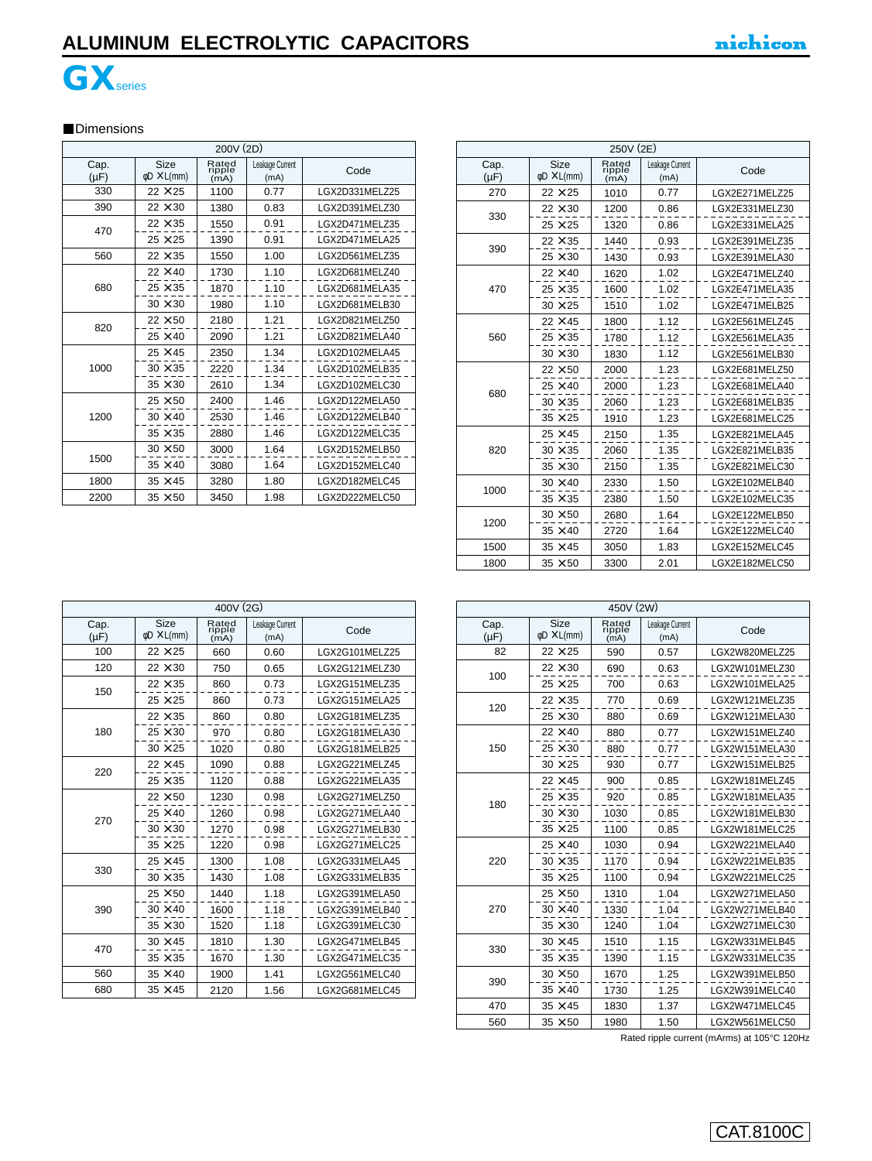# **ALUMINUM ELECTROLYTIC CAPACITORS**





#### **Dimensions**

| 200V (2D)         |                                 |                         |                         |                |  |  |
|-------------------|---------------------------------|-------------------------|-------------------------|----------------|--|--|
| Cap.<br>$(\mu F)$ | Size<br>$\phi$ D $\times$ L(mm) | Rated<br>ripple<br>(mA) | Leakage Current<br>(mA) | Code           |  |  |
| 330               | $22 \times 25$                  | 1100                    | 0.77                    | LGX2D331MELZ25 |  |  |
| 390               | $22 \times 30$                  | 1380                    | 0.83                    | LGX2D391MELZ30 |  |  |
| 470               | $22 \times 35$                  | 1550                    | 0.91                    | LGX2D471MELZ35 |  |  |
|                   | $25 \times 25$                  | 1390                    | 0.91                    | LGX2D471MELA25 |  |  |
| 560               | $22 \times 35$                  | 1.00<br>1550            |                         | LGX2D561MELZ35 |  |  |
|                   | $22 \times 40$                  | 1730                    | 1.10                    | LGX2D681MELZ40 |  |  |
| 680               | $25 \times 35$                  | 1870                    | 1.10                    | LGX2D681MELA35 |  |  |
|                   | $30 \times 30$                  | 1980                    | 1.10                    | LGX2D681MELB30 |  |  |
| 820               | $22 \times 50$                  | 2180                    | 1.21                    | LGX2D821MELZ50 |  |  |
|                   | $25 \times 40$                  | 2090                    | 1.21                    | LGX2D821MELA40 |  |  |
|                   | $25 \times 45$                  | 2350                    | 1.34                    | LGX2D102MELA45 |  |  |
| 1000              | $30 \times 35$                  | 2220                    | 1.34                    | LGX2D102MELB35 |  |  |
|                   | $35 \times 30$                  | 2610                    | 1.34                    | LGX2D102MELC30 |  |  |
|                   | $25 \times 50$                  | 2400                    | 1.46                    | LGX2D122MELA50 |  |  |
| 1200              | $30 \times 40$                  | 2530                    | 1.46                    | LGX2D122MELB40 |  |  |
|                   | $35 \times 35$                  | 2880                    | 1.46                    | LGX2D122MELC35 |  |  |
|                   | $30 \times 50$                  | 3000                    | 1.64                    | LGX2D152MELB50 |  |  |
| 1500              | $35 \times 40$                  | 3080                    | 1.64                    | LGX2D152MELC40 |  |  |
| 1800              | $35 \times 45$                  | 3280                    | 1.80                    | LGX2D182MELC45 |  |  |
| 2200              | $35 \times 50$                  | 3450                    | 1.98                    | LGX2D222MELC50 |  |  |

| 250V (2E)         |                                        |                         |                         |                |  |  |  |
|-------------------|----------------------------------------|-------------------------|-------------------------|----------------|--|--|--|
| Cap.<br>$(\mu F)$ | <b>Size</b><br>$\phi$ D $\times$ L(mm) | Rated<br>ripple<br>(mA) | Leakage Current<br>(mA) | Code           |  |  |  |
| 270               | $22 \times 25$                         | 1010<br>0.77            |                         | LGX2E271MELZ25 |  |  |  |
| 330               | $22 \times 30$                         | 1200                    | 0.86                    | LGX2E331MELZ30 |  |  |  |
|                   | $25 \times 25$                         | 1320                    | 0.86                    | LGX2E331MELA25 |  |  |  |
| 390               | $22 \times 35$                         | 1440                    | 0.93                    | LGX2E391MELZ35 |  |  |  |
|                   | $25 \times 30$                         | 1430                    | 0.93                    | LGX2E391MELA30 |  |  |  |
|                   | $22 \times 40$                         | 1620                    | 1.02                    | LGX2E471MELZ40 |  |  |  |
| 470               | $25 \times 35$                         | 1600                    | 1.02                    | LGX2E471MELA35 |  |  |  |
|                   | $30 \times 25$                         | 1510                    | 1.02                    | LGX2E471MELB25 |  |  |  |
|                   | $22 \times 45$                         | 1800                    | 1.12                    | LGX2E561MELZ45 |  |  |  |
| 560               | $25 \times 35$                         | 1780                    | 1.12                    | LGX2E561MELA35 |  |  |  |
|                   | $30 \times 30$                         | 1830                    | 1.12                    | LGX2E561MELB30 |  |  |  |
|                   | $22 \times 50$                         | 2000                    | 1.23                    | LGX2E681MELZ50 |  |  |  |
| 680               | $25 \times 40$                         | 2000                    | 1.23                    | LGX2E681MELA40 |  |  |  |
|                   | $30 \times 35$                         | 2060                    | 1.23                    | LGX2E681MELB35 |  |  |  |
|                   | $35 \times 25$                         | 1910                    | 1.23                    | LGX2E681MELC25 |  |  |  |
|                   | $25 \times 45$                         | 2150                    | 1.35                    | LGX2E821MELA45 |  |  |  |
| 820               | $30 \times 35$                         | 2060                    | 1.35                    | LGX2E821MELB35 |  |  |  |
|                   | $35 \times 30$                         | 2150                    | 1.35                    | LGX2E821MELC30 |  |  |  |
| 1000              | $30 \times 40$                         | 2330                    | 1.50                    | LGX2E102MELB40 |  |  |  |
|                   | $35 \times 35$                         | 2380                    | 1.50                    | LGX2E102MELC35 |  |  |  |
| 1200              | $30 \times 50$                         | 2680                    | 1.64                    | LGX2E122MELB50 |  |  |  |
|                   | $35 \times 40$                         | 2720                    | 1.64                    | LGX2E122MELC40 |  |  |  |
| 1500              | $35 \times 45$                         | 3050                    | 1.83                    | LGX2E152MELC45 |  |  |  |
| 1800              | $35 \times 50$                         | 3300                    | 2.01                    | LGX2E182MELC50 |  |  |  |

| 400V (2G)         |                                 |                         |                         |                |  |  |
|-------------------|---------------------------------|-------------------------|-------------------------|----------------|--|--|
| Cap.<br>$(\mu F)$ | Size<br>$\phi$ D $\times$ L(mm) | Rated<br>ripple<br>(mA) | Leakage Current<br>(mA) | Code           |  |  |
| 100               | $22 \times 25$                  | 0.60<br>660             |                         | LGX2G101MELZ25 |  |  |
| 120               | $22 \times 30$                  | 750                     | 0.65                    | LGX2G121MELZ30 |  |  |
| 150               | $22\times35$                    | 860                     | 0.73                    | LGX2G151MELZ35 |  |  |
|                   | $25 \times 25$                  | 860                     | 0.73                    | LGX2G151MELA25 |  |  |
|                   | $22 \times 35$                  | 860                     | 0.80                    | LGX2G181MELZ35 |  |  |
| 180               | $25 \times 30$                  | 970                     | 0.80                    | LGX2G181MELA30 |  |  |
|                   | $30 \times 25$                  | 1020                    | 0.80                    | LGX2G181MELB25 |  |  |
| 220               | $22 \times 45$                  | 1090                    | 0.88                    | LGX2G221MELZ45 |  |  |
|                   | $25 \times 35$                  | 1120                    | 0.88                    | LGX2G221MELA35 |  |  |
|                   | $22 \times 50$                  | 1230                    | 0.98                    | LGX2G271MELZ50 |  |  |
| 270               | $25 \times 40$                  | 1260                    | 0.98                    | LGX2G271MELA40 |  |  |
|                   | $30 \times 30$                  | 1270                    | 0.98                    | LGX2G271MELB30 |  |  |
|                   | $35 \times 25$                  | 1220                    | 0.98                    | LGX2G271MELC25 |  |  |
| 330               | $25 \times 45$                  | 1300                    | 1.08                    | LGX2G331MELA45 |  |  |
|                   | $30 \times 35$                  | 1430                    | 1.08                    | LGX2G331MELB35 |  |  |
|                   | $25 \times 50$                  | 1440                    | 1.18                    | LGX2G391MELA50 |  |  |
| 390               | $30 \times 40$                  | 1600                    | 1.18                    | LGX2G391MELB40 |  |  |
|                   | $35 \times 30$                  | 1520                    | 1.18                    | LGX2G391MELC30 |  |  |
| 470               | $30 \times 45$                  | 1810                    | 1.30                    | LGX2G471MELB45 |  |  |
|                   | $35 \times 35$                  | 1670                    | 1.30                    | LGX2G471MELC35 |  |  |
| 560               | $35 \times 40$                  | 1900                    | 1.41                    | LGX2G561MELC40 |  |  |
| 680               | $35 \times 45$                  | 2120                    | 1.56                    | LGX2G681MELC45 |  |  |

| 450V (2W)         |                                 |                         |                         |                |  |  |
|-------------------|---------------------------------|-------------------------|-------------------------|----------------|--|--|
| Cap.<br>$(\mu F)$ | Size<br>$\phi$ D $\times$ L(mm) | Rated<br>ripple<br>(mA) | Leakage Current<br>(mA) | Code           |  |  |
| 82                | $22 \times 25$                  | 590                     | 0.57                    | LGX2W820MELZ25 |  |  |
| 100               | $22 \times 30$                  | 690                     | 0.63                    | LGX2W101MELZ30 |  |  |
|                   | $25 \times 25$                  | 700                     | 0.63                    | LGX2W101MELA25 |  |  |
| 120               | $22 \times 35$                  | 770                     | 0.69                    | LGX2W121MELZ35 |  |  |
|                   | $25 \times 30$                  | 880                     | 0.69                    | LGX2W121MELA30 |  |  |
|                   | $22 \times 40$                  | 880                     | 0.77                    | LGX2W151MELZ40 |  |  |
| 150               | $25 \times 30$                  | 880                     | 0.77                    | LGX2W151MELA30 |  |  |
|                   | $30 \times 25$                  | 930                     | 0.77                    | LGX2W151MELB25 |  |  |
|                   | $22 \times 45$                  | 900                     | 0.85                    | LGX2W181MELZ45 |  |  |
| 180               | $25 \times 35$                  | 920                     | 0.85                    | LGX2W181MELA35 |  |  |
|                   | $30 \times 30$                  | 1030                    | 0.85                    | LGX2W181MELB30 |  |  |
|                   | $35 \times 25$                  | 1100                    | 0.85                    | LGX2W181MELC25 |  |  |
|                   | $25 \times 40$                  | 1030                    | 0.94                    | LGX2W221MELA40 |  |  |
| 220               | $30 \times 35$                  | 1170                    | 0.94                    | LGX2W221MELB35 |  |  |
|                   | $35 \times 25$                  | 1100                    | 0.94                    | LGX2W221MELC25 |  |  |
|                   | $25 \times 50$                  | 1310                    | 1.04                    | LGX2W271MELA50 |  |  |
| 270               | $30 \times 40$                  | 1330                    | 1.04                    | LGX2W271MELB40 |  |  |
|                   | $35 \times 30$                  | 1240                    | 1.04                    | LGX2W271MELC30 |  |  |
|                   | $30 \times 45$                  | 1510                    | 1.15                    | LGX2W331MELB45 |  |  |
| 330               | $35 \times 35$                  | 1390                    | 1.15                    | LGX2W331MELC35 |  |  |
| 390               | $30 \times 50$                  | 1670                    | 1.25                    | LGX2W391MELB50 |  |  |
|                   | $35 \times 40$                  | 1730                    | 1.25                    | LGX2W391MELC40 |  |  |
| 470               | $35 \times 45$                  | 1830                    | 1.37                    | LGX2W471MELC45 |  |  |
| 560               | $35 \times 50$                  | 1980                    | 1.50                    | LGX2W561MELC50 |  |  |

Rated ripple current (mArms) at 105°C 120Hz